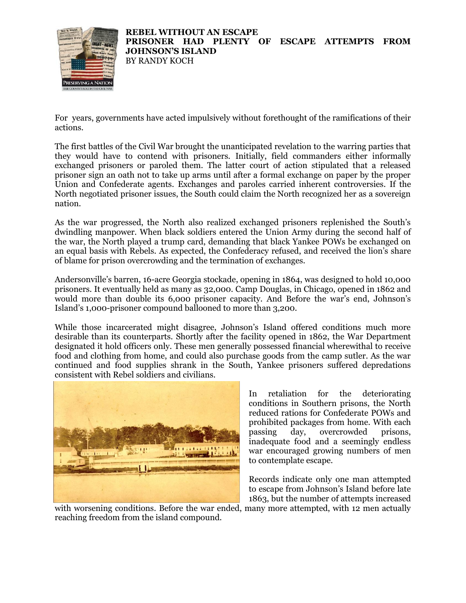

For years, governments have acted impulsively without forethought of the ramifications of their actions.

The first battles of the Civil War brought the unanticipated revelation to the warring parties that they would have to contend with prisoners. Initially, field commanders either informally exchanged prisoners or paroled them. The latter court of action stipulated that a released prisoner sign an oath not to take up arms until after a formal exchange on paper by the proper Union and Confederate agents. Exchanges and paroles carried inherent controversies. If the North negotiated prisoner issues, the South could claim the North recognized her as a sovereign nation.

As the war progressed, the North also realized exchanged prisoners replenished the South's dwindling manpower. When black soldiers entered the Union Army during the second half of the war, the North played a trump card, demanding that black Yankee POWs be exchanged on an equal basis with Rebels. As expected, the Confederacy refused, and received the lion's share of blame for prison overcrowding and the termination of exchanges.

Andersonville's barren, 16-acre Georgia stockade, opening in 1864, was designed to hold 10,000 prisoners. It eventually held as many as 32,000. Camp Douglas, in Chicago, opened in 1862 and would more than double its 6,000 prisoner capacity. And Before the war's end, Johnson's Island's 1,000-prisoner compound ballooned to more than 3,200.

While those incarcerated might disagree, Johnson's Island offered conditions much more desirable than its counterparts. Shortly after the facility opened in 1862, the War Department designated it hold officers only. These men generally possessed financial wherewithal to receive food and clothing from home, and could also purchase goods from the camp sutler. As the war continued and food supplies shrank in the South, Yankee prisoners suffered depredations consistent with Rebel soldiers and civilians.



In retaliation for the deteriorating conditions in Southern prisons, the North reduced rations for Confederate POWs and prohibited packages from home. With each passing day, overcrowded prisons, inadequate food and a seemingly endless war encouraged growing numbers of men to contemplate escape.

Records indicate only one man attempted to escape from Johnson's Island before late 1863, but the number of attempts increased

with worsening conditions. Before the war ended, many more attempted, with 12 men actually reaching freedom from the island compound.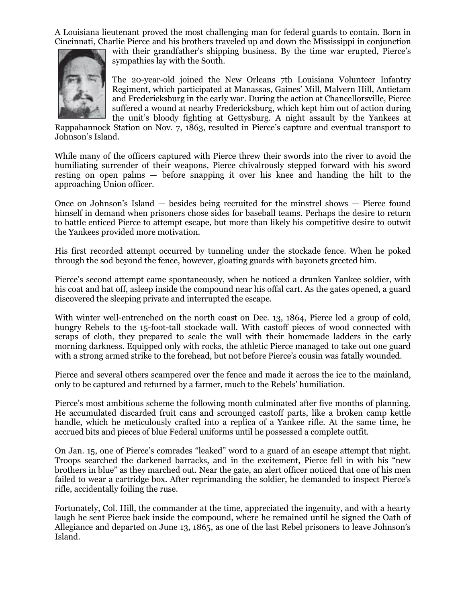A Louisiana lieutenant proved the most challenging man for federal guards to contain. Born in Cincinnati, Charlie Pierce and his brothers traveled up and down the Mississippi in conjunction



with their grandfather's shipping business. By the time war erupted, Pierce's sympathies lay with the South.

The 20-year-old joined the New Orleans 7th Louisiana Volunteer Infantry Regiment, which participated at Manassas, Gaines' Mill, Malvern Hill, Antietam and Fredericksburg in the early war. During the action at Chancellorsville, Pierce suffered a wound at nearby Fredericksburg, which kept him out of action during the unit's bloody fighting at Gettysburg. A night assault by the Yankees at

Rappahannock Station on Nov. 7, 1863, resulted in Pierce's capture and eventual transport to Johnson's Island.

While many of the officers captured with Pierce threw their swords into the river to avoid the humiliating surrender of their weapons, Pierce chivalrously stepped forward with his sword resting on open palms — before snapping it over his knee and handing the hilt to the approaching Union officer.

Once on Johnson's Island — besides being recruited for the minstrel shows — Pierce found himself in demand when prisoners chose sides for baseball teams. Perhaps the desire to return to battle enticed Pierce to attempt escape, but more than likely his competitive desire to outwit the Yankees provided more motivation.

His first recorded attempt occurred by tunneling under the stockade fence. When he poked through the sod beyond the fence, however, gloating guards with bayonets greeted him.

Pierce's second attempt came spontaneously, when he noticed a drunken Yankee soldier, with his coat and hat off, asleep inside the compound near his offal cart. As the gates opened, a guard discovered the sleeping private and interrupted the escape.

With winter well-entrenched on the north coast on Dec. 13, 1864, Pierce led a group of cold, hungry Rebels to the 15-foot-tall stockade wall. With castoff pieces of wood connected with scraps of cloth, they prepared to scale the wall with their homemade ladders in the early morning darkness. Equipped only with rocks, the athletic Pierce managed to take out one guard with a strong armed strike to the forehead, but not before Pierce's cousin was fatally wounded.

Pierce and several others scampered over the fence and made it across the ice to the mainland, only to be captured and returned by a farmer, much to the Rebels' humiliation.

Pierce's most ambitious scheme the following month culminated after five months of planning. He accumulated discarded fruit cans and scrounged castoff parts, like a broken camp kettle handle, which he meticulously crafted into a replica of a Yankee rifle. At the same time, he accrued bits and pieces of blue Federal uniforms until he possessed a complete outfit.

On Jan. 15, one of Pierce's comrades "leaked" word to a guard of an escape attempt that night. Troops searched the darkened barracks, and in the excitement, Pierce fell in with his "new brothers in blue" as they marched out. Near the gate, an alert officer noticed that one of his men failed to wear a cartridge box. After reprimanding the soldier, he demanded to inspect Pierce's rifle, accidentally foiling the ruse.

Fortunately, Col. Hill, the commander at the time, appreciated the ingenuity, and with a hearty laugh he sent Pierce back inside the compound, where he remained until he signed the Oath of Allegiance and departed on June 13, 1865, as one of the last Rebel prisoners to leave Johnson's Island.